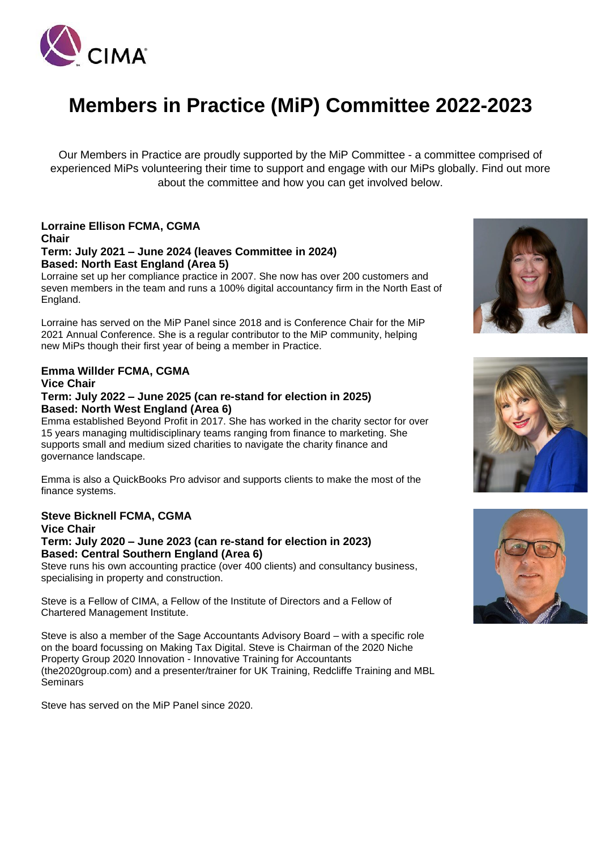

# **Members in Practice (MiP) Committee 2022-2023**

Our Members in Practice are proudly supported by the MiP Committee - a committee comprised of experienced MiPs volunteering their time to support and engage with our MiPs globally. Find out more about the committee and how you can get involved below.

# **Lorraine Ellison FCMA, CGMA Chair**

#### **Term: July 2021 – June 2024 (leaves Committee in 2024) Based: North East England (Area 5)**

Lorraine set up her compliance practice in 2007. She now has over 200 customers and seven members in the team and runs a 100% digital accountancy firm in the North East of England.

Lorraine has served on the MiP Panel since 2018 and is Conference Chair for the MiP 2021 Annual Conference. She is a regular contributor to the MiP community, helping new MiPs though their first year of being a member in Practice.

# **Emma Willder FCMA, CGMA Vice Chair**

#### **Term: July 2022 – June 2025 (can re-stand for election in 2025) Based: North West England (Area 6)**

Emma established Beyond Profit in 2017. She has worked in the charity sector for over 15 years managing multidisciplinary teams ranging from finance to marketing. She supports small and medium sized charities to navigate the charity finance and governance landscape.

Emma is also a QuickBooks Pro advisor and supports clients to make the most of the finance systems.

#### **Steve Bicknell FCMA, CGMA Vice Chair**

#### **Term: July 2020 – June 2023 (can re-stand for election in 2023) Based: Central Southern England (Area 6)**

Steve runs his own accounting practice (over 400 clients) and consultancy business, specialising in property and construction.

Steve is a Fellow of CIMA, a Fellow of the Institute of Directors and a Fellow of Chartered Management Institute.

Steve is also a member of the Sage Accountants Advisory Board – with a specific role on the board focussing on Making Tax Digital. Steve is Chairman of the 2020 Niche Property Group 2020 Innovation - Innovative Training for Accountants (the2020group.com) and a presenter/trainer for UK Training, Redcliffe Training and MBL **Seminars** 

Steve has served on the MiP Panel since 2020.





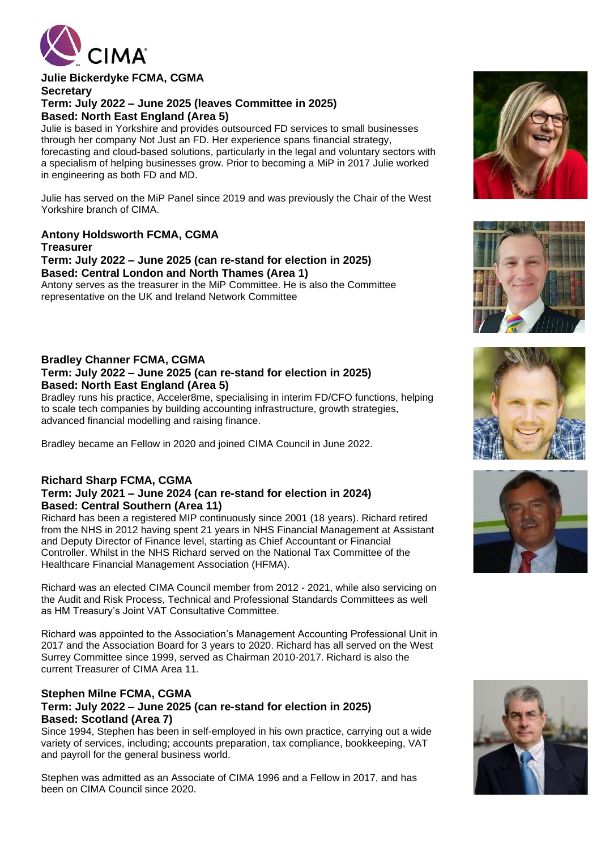

#### **Julie Bickerdyke FCMA, CGMA Secretary Term: July 2022 – June 2025 (leaves Committee in 2025) Based: North East England (Area 5)** Julie is based in Yorkshire and provides outsourced FD services to small businesses

through her company Not Just an FD. Her experience spans financial strategy, forecasting and cloud-based solutions, particularly in the legal and voluntary sectors with a specialism of helping businesses grow. Prior to becoming a MiP in 2017 Julie worked in engineering as both FD and MD.

Julie has served on the MiP Panel since 2019 and was previously the Chair of the West Yorkshire branch of CIMA.

## **Antony Holdsworth FCMA, CGMA**

**Treasurer**

#### **Term: July 2022 – June 2025 (can re-stand for election in 2025) Based: Central London and North Thames (Area 1)**

Antony serves as the treasurer in the MiP Committee. He is also the Committee representative on the UK and Ireland Network Committee

#### **Bradley Channer FCMA, CGMA Term: July 2022 – June 2025 (can re-stand for election in 2025) Based: North East England (Area 5)**

Bradley runs his practice, Acceler8me, specialising in interim FD/CFO functions, helping to scale tech companies by building accounting infrastructure, growth strategies, advanced financial modelling and raising finance.

Bradley became an Fellow in 2020 and joined CIMA Council in June 2022.

#### **Richard Sharp FCMA, CGMA Term: July 2021 – June 2024 (can re-stand for election in 2024) Based: Central Southern (Area 11)**

Richard has been a registered MIP continuously since 2001 (18 years). Richard retired from the NHS in 2012 having spent 21 years in NHS Financial Management at Assistant and Deputy Director of Finance level, starting as Chief Accountant or Financial Controller. Whilst in the NHS Richard served on the National Tax Committee of the Healthcare Financial Management Association (HFMA).

Richard was an elected CIMA Council member from 2012 - 2021, while also servicing on the Audit and Risk Process, Technical and Professional Standards Committees as well as HM Treasury's Joint VAT Consultative Committee.

Richard was appointed to the Association's Management Accounting Professional Unit in 2017 and the Association Board for 3 years to 2020. Richard has all served on the West Surrey Committee since 1999, served as Chairman 2010-2017. Richard is also the current Treasurer of CIMA Area 11.

#### **Stephen Milne FCMA, CGMA Term: July 2022 – June 2025 (can re-stand for election in 2025) Based: Scotland (Area 7)**

Since 1994, Stephen has been in self-employed in his own practice, carrying out a wide variety of services, including; accounts preparation, tax compliance, bookkeeping, VAT and payroll for the general business world.

Stephen was admitted as an Associate of CIMA 1996 and a Fellow in 2017, and has been on CIMA Council since 2020.